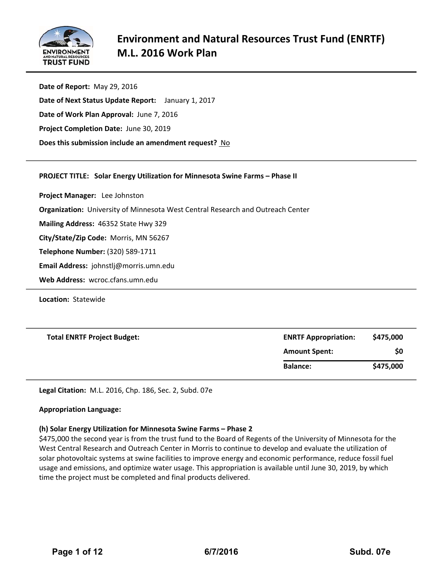

**Date of Report:** May 29, 2016 **Date of Next Status Update Report:**  January 1, 2017 **Date of Work Plan Approval:** June 7, 2016 **Project Completion Date:** June 30, 2019 **Does this submission include an amendment request?** No

### **PROJECT TITLE: Solar Energy Utilization for Minnesota Swine Farms – Phase II**

**Project Manager:**  Lee Johnston

**Organization:** University of Minnesota West Central Research and Outreach Center

**Mailing Address:** 46352 State Hwy 329

**City/State/Zip Code:** Morris, MN 56267

**Telephone Number:** (320) 589‐1711

**Email Address:** johnstlj@morris.umn.edu

**Web Address:** wcroc.cfans.umn.edu

**Location: Statewide** 

| <b>Total ENRTF Project Budget:</b> | <b>ENRTF Appropriation:</b> | \$475,000 |  |
|------------------------------------|-----------------------------|-----------|--|
|                                    | <b>Amount Spent:</b>        | \$0       |  |
|                                    | <b>Balance:</b>             | \$475,000 |  |

**Legal Citation:** M.L. 2016, Chp. 186, Sec. 2, Subd. 07e

### **Appropriation Language:**

### **(h) Solar Energy Utilization for Minnesota Swine Farms – Phase 2**

\$475,000 the second year is from the trust fund to the Board of Regents of the University of Minnesota for the West Central Research and Outreach Center in Morris to continue to develop and evaluate the utilization of solar photovoltaic systems at swine facilities to improve energy and economic performance, reduce fossil fuel usage and emissions, and optimize water usage. This appropriation is available until June 30, 2019, by which time the project must be completed and final products delivered.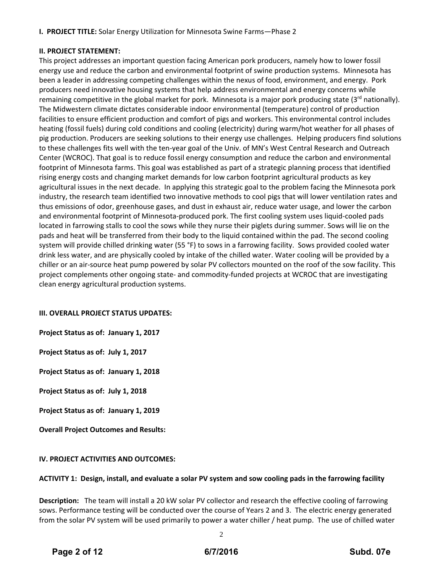## **II. PROJECT STATEMENT:**

This project addresses an important question facing American pork producers, namely how to lower fossil energy use and reduce the carbon and environmental footprint of swine production systems. Minnesota has been a leader in addressing competing challenges within the nexus of food, environment, and energy. Pork producers need innovative housing systems that help address environmental and energy concerns while remaining competitive in the global market for pork. Minnesota is a major pork producing state (3rd nationally). The Midwestern climate dictates considerable indoor environmental (temperature) control of production facilities to ensure efficient production and comfort of pigs and workers. This environmental control includes heating (fossil fuels) during cold conditions and cooling (electricity) during warm/hot weather for all phases of pig production. Producers are seeking solutions to their energy use challenges. Helping producers find solutions to these challenges fits well with the ten-year goal of the Univ. of MN's West Central Research and Outreach Center (WCROC). That goal is to reduce fossil energy consumption and reduce the carbon and environmental footprint of Minnesota farms. This goal was established as part of a strategic planning process that identified rising energy costs and changing market demands for low carbon footprint agricultural products as key agricultural issues in the next decade. In applying this strategic goal to the problem facing the Minnesota pork industry, the research team identified two innovative methods to cool pigs that will lower ventilation rates and thus emissions of odor, greenhouse gases, and dust in exhaust air, reduce water usage, and lower the carbon and environmental footprint of Minnesota‐produced pork. The first cooling system uses liquid‐cooled pads located in farrowing stalls to cool the sows while they nurse their piglets during summer. Sows will lie on the pads and heat will be transferred from their body to the liquid contained within the pad. The second cooling system will provide chilled drinking water (55 °F) to sows in a farrowing facility. Sows provided cooled water drink less water, and are physically cooled by intake of the chilled water. Water cooling will be provided by a chiller or an air‐source heat pump powered by solar PV collectors mounted on the roof of the sow facility. This project complements other ongoing state‐ and commodity‐funded projects at WCROC that are investigating clean energy agricultural production systems.

## **III. OVERALL PROJECT STATUS UPDATES:**

**Project Status as of: January 1, 2017**

**Project Status as of: July 1, 2017**

**Project Status as of: January 1, 2018**

**Project Status as of: July 1, 2018**

**Project Status as of: January 1, 2019**

**Overall Project Outcomes and Results:**

## **IV. PROJECT ACTIVITIES AND OUTCOMES:**

## ACTIVITY 1: Design, install, and evaluate a solar PV system and sow cooling pads in the farrowing facility

**Description:** The team will install a 20 kW solar PV collector and research the effective cooling of farrowing sows. Performance testing will be conducted over the course of Years 2 and 3. The electric energy generated from the solar PV system will be used primarily to power a water chiller / heat pump. The use of chilled water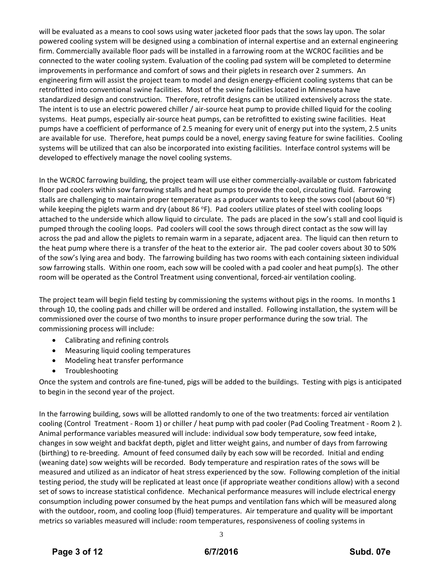will be evaluated as a means to cool sows using water jacketed floor pads that the sows lay upon. The solar powered cooling system will be designed using a combination of internal expertise and an external engineering firm. Commercially available floor pads will be installed in a farrowing room at the WCROC facilities and be connected to the water cooling system. Evaluation of the cooling pad system will be completed to determine improvements in performance and comfort of sows and their piglets in research over 2 summers. An engineering firm will assist the project team to model and design energy-efficient cooling systems that can be retrofitted into conventional swine facilities. Most of the swine facilities located in Minnesota have standardized design and construction. Therefore, retrofit designs can be utilized extensively across the state. The intent is to use an electric powered chiller / air‐source heat pump to provide chilled liquid for the cooling systems. Heat pumps, especially air‐source heat pumps, can be retrofitted to existing swine facilities. Heat pumps have a coefficient of performance of 2.5 meaning for every unit of energy put into the system, 2.5 units are available for use. Therefore, heat pumps could be a novel, energy saving feature for swine facilities. Cooling systems will be utilized that can also be incorporated into existing facilities. Interface control systems will be developed to effectively manage the novel cooling systems.

In the WCROC farrowing building, the project team will use either commercially‐available or custom fabricated floor pad coolers within sow farrowing stalls and heat pumps to provide the cool, circulating fluid. Farrowing stalls are challenging to maintain proper temperature as a producer wants to keep the sows cool (about 60 °F) while keeping the piglets warm and dry (about 86 °F). Pad coolers utilize plates of steel with cooling loops attached to the underside which allow liquid to circulate. The pads are placed in the sow's stall and cool liquid is pumped through the cooling loops. Pad coolers will cool the sows through direct contact as the sow will lay across the pad and allow the piglets to remain warm in a separate, adjacent area. The liquid can then return to the heat pump where there is a transfer of the heat to the exterior air. The pad cooler covers about 30 to 50% of the sow's lying area and body. The farrowing building has two rooms with each containing sixteen individual sow farrowing stalls. Within one room, each sow will be cooled with a pad cooler and heat pump(s). The other room will be operated as the Control Treatment using conventional, forced-air ventilation cooling.

The project team will begin field testing by commissioning the systems without pigs in the rooms. In months 1 through 10, the cooling pads and chiller will be ordered and installed. Following installation, the system will be commissioned over the course of two months to insure proper performance during the sow trial. The commissioning process will include:

- Calibrating and refining controls
- Measuring liquid cooling temperatures
- Modeling heat transfer performance
- Troubleshooting

Once the system and controls are fine‐tuned, pigs will be added to the buildings. Testing with pigs is anticipated to begin in the second year of the project.

In the farrowing building, sows will be allotted randomly to one of the two treatments: forced air ventilation cooling (Control Treatment ‐ Room 1) or chiller / heat pump with pad cooler (Pad Cooling Treatment ‐ Room 2 ). Animal performance variables measured will include: individual sow body temperature, sow feed intake, changes in sow weight and backfat depth, piglet and litter weight gains, and number of days from farrowing (birthing) to re‐breeding. Amount of feed consumed daily by each sow will be recorded. Initial and ending (weaning date) sow weights will be recorded. Body temperature and respiration rates of the sows will be measured and utilized as an indicator of heat stress experienced by the sow. Following completion of the initial testing period, the study will be replicated at least once (if appropriate weather conditions allow) with a second set of sows to increase statistical confidence. Mechanical performance measures will include electrical energy consumption including power consumed by the heat pumps and ventilation fans which will be measured along with the outdoor, room, and cooling loop (fluid) temperatures. Air temperature and quality will be important metrics so variables measured will include: room temperatures, responsiveness of cooling systems in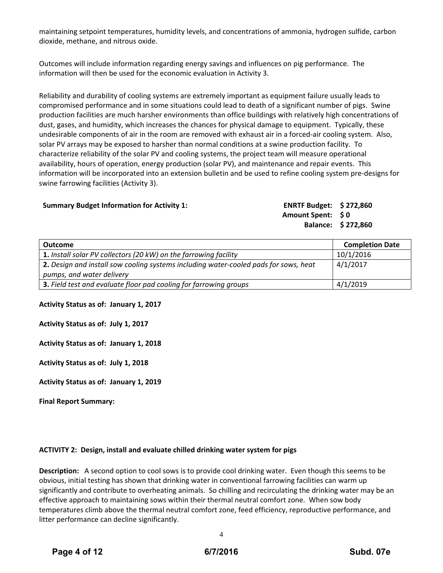maintaining setpoint temperatures, humidity levels, and concentrations of ammonia, hydrogen sulfide, carbon dioxide, methane, and nitrous oxide.

Outcomes will include information regarding energy savings and influences on pig performance. The information will then be used for the economic evaluation in Activity 3.

Reliability and durability of cooling systems are extremely important as equipment failure usually leads to compromised performance and in some situations could lead to death of a significant number of pigs. Swine production facilities are much harsher environments than office buildings with relatively high concentrations of dust, gases, and humidity, which increases the chances for physical damage to equipment. Typically, these undesirable components of air in the room are removed with exhaust air in a forced-air cooling system. Also, solar PV arrays may be exposed to harsher than normal conditions at a swine production facility. To characterize reliability of the solar PV and cooling systems, the project team will measure operational availability, hours of operation, energy production (solar PV), and maintenance and repair events. This information will be incorporated into an extension bulletin and be used to refine cooling system pre‐designs for swine farrowing facilities (Activity 3).

### **Summary Budget Information for Activity 1: ENRTF Budget: \$ 272,860**

**Amount Spent: \$ 0 Balance: \$ 272,860**

| <b>Outcome</b>                                                                       | <b>Completion Date</b> |
|--------------------------------------------------------------------------------------|------------------------|
| <b>1.</b> Install solar PV collectors (20 kW) on the farrowing facility              | 10/1/2016              |
| 2. Design and install sow cooling systems including water-cooled pads for sows, heat | 4/1/2017               |
| pumps, and water delivery                                                            |                        |
| 3. Field test and evaluate floor pad cooling for farrowing groups                    | 4/1/2019               |

**Activity Status as of: January 1, 2017**

**Activity Status as of: July 1, 2017**

**Activity Status as of: January 1, 2018**

**Activity Status as of: July 1, 2018**

**Activity Status as of: January 1, 2019**

**Final Report Summary:**

## **ACTIVITY 2: Design, install and evaluate chilled drinking water system for pigs**

**Description:** A second option to cool sows is to provide cool drinking water. Even though this seems to be obvious, initial testing has shown that drinking water in conventional farrowing facilities can warm up significantly and contribute to overheating animals. So chilling and recirculating the drinking water may be an effective approach to maintaining sows within their thermal neutral comfort zone. When sow body temperatures climb above the thermal neutral comfort zone, feed efficiency, reproductive performance, and litter performance can decline significantly.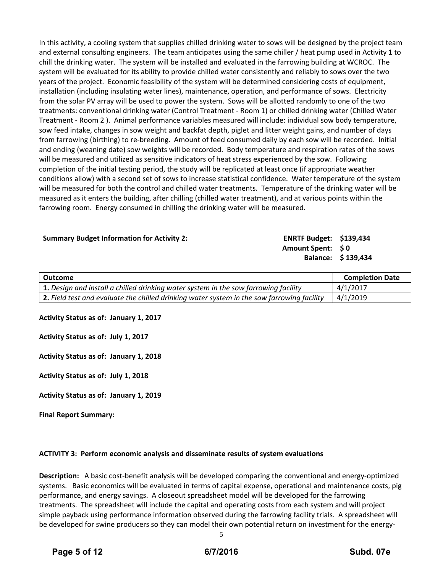In this activity, a cooling system that supplies chilled drinking water to sows will be designed by the project team and external consulting engineers. The team anticipates using the same chiller / heat pump used in Activity 1 to chill the drinking water. The system will be installed and evaluated in the farrowing building at WCROC. The system will be evaluated for its ability to provide chilled water consistently and reliably to sows over the two years of the project. Economic feasibility of the system will be determined considering costs of equipment, installation (including insulating water lines), maintenance, operation, and performance of sows. Electricity from the solar PV array will be used to power the system. Sows will be allotted randomly to one of the two treatments: conventional drinking water (Control Treatment ‐ Room 1) or chilled drinking water (Chilled Water Treatment ‐ Room 2 ). Animal performance variables measured will include: individual sow body temperature, sow feed intake, changes in sow weight and backfat depth, piglet and litter weight gains, and number of days from farrowing (birthing) to re‐breeding. Amount of feed consumed daily by each sow will be recorded. Initial and ending (weaning date) sow weights will be recorded. Body temperature and respiration rates of the sows will be measured and utilized as sensitive indicators of heat stress experienced by the sow. Following completion of the initial testing period, the study will be replicated at least once (if appropriate weather conditions allow) with a second set of sows to increase statistical confidence. Water temperature of the system will be measured for both the control and chilled water treatments. Temperature of the drinking water will be measured as it enters the building, after chilling (chilled water treatment), and at various points within the farrowing room. Energy consumed in chilling the drinking water will be measured.

| <b>Summary Budget Information for Activity 2:</b> | <b>ENRTF Budget: \$139,434</b> |                    |
|---------------------------------------------------|--------------------------------|--------------------|
|                                                   | Amount Spent: \$0              |                    |
|                                                   |                                | Balance: \$139,434 |

| Outcome                                                                                    | <b>Completion Date</b> |
|--------------------------------------------------------------------------------------------|------------------------|
| <b>1.</b> Design and install a chilled drinking water system in the sow farrowing facility | 4/1/2017               |
| 2. Field test and evaluate the chilled drinking water system in the sow farrowing facility | 4/1/2019               |

### **Activity Status as of: January 1, 2017**

**Activity Status as of: July 1, 2017**

**Activity Status as of: January 1, 2018**

**Activity Status as of: July 1, 2018**

**Activity Status as of: January 1, 2019**

**Final Report Summary:**

### **ACTIVITY 3: Perform economic analysis and disseminate results of system evaluations**

**Description:** A basic cost‐benefit analysis will be developed comparing the conventional and energy‐optimized systems. Basic economics will be evaluated in terms of capital expense, operational and maintenance costs, pig performance, and energy savings. A closeout spreadsheet model will be developed for the farrowing treatments. The spreadsheet will include the capital and operating costs from each system and will project simple payback using performance information observed during the farrowing facility trials. A spreadsheet will be developed for swine producers so they can model their own potential return on investment for the energy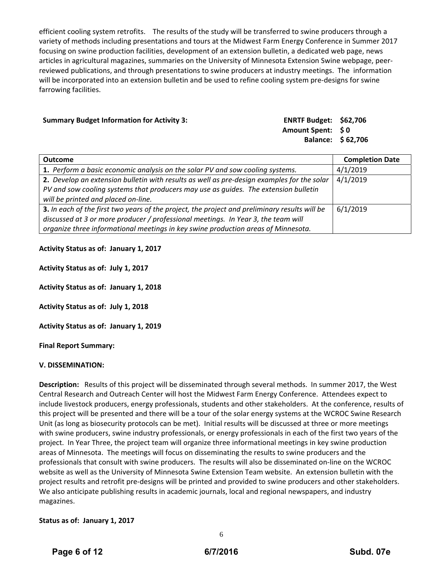efficient cooling system retrofits. The results of the study will be transferred to swine producers through a variety of methods including presentations and tours at the Midwest Farm Energy Conference in Summer 2017 focusing on swine production facilities, development of an extension bulletin, a dedicated web page, news articles in agricultural magazines, summaries on the University of Minnesota Extension Swine webpage, peer‐ reviewed publications, and through presentations to swine producers at industry meetings. The information will be incorporated into an extension bulletin and be used to refine cooling system pre-designs for swine farrowing facilities.

#### **Summary Budget Information for Activity 3:**

| ENRTF Budget: \$62,706 |                   |
|------------------------|-------------------|
| Amount Spent: \$0      |                   |
|                        | Balance: \$62,706 |

| <b>Outcome</b>                                                                                | <b>Completion Date</b> |
|-----------------------------------------------------------------------------------------------|------------------------|
| 1. Perform a basic economic analysis on the solar PV and sow cooling systems.                 | 4/1/2019               |
| 2. Develop an extension bulletin with results as well as pre-design examples for the solar    | 4/1/2019               |
| PV and sow cooling systems that producers may use as quides. The extension bulletin           |                        |
| will be printed and placed on-line.                                                           |                        |
| 3. In each of the first two years of the project, the project and preliminary results will be | 6/1/2019               |
| discussed at 3 or more producer / professional meetings. In Year 3, the team will             |                        |
| organize three informational meetings in key swine production areas of Minnesota.             |                        |

**Activity Status as of: January 1, 2017**

**Activity Status as of: July 1, 2017**

**Activity Status as of: January 1, 2018**

**Activity Status as of: July 1, 2018**

**Activity Status as of: January 1, 2019**

**Final Report Summary:**

### **V. DISSEMINATION:**

**Description:**  Results of this project will be disseminated through several methods. In summer 2017, the West Central Research and Outreach Center will host the Midwest Farm Energy Conference. Attendees expect to include livestock producers, energy professionals, students and other stakeholders. At the conference, results of this project will be presented and there will be a tour of the solar energy systems at the WCROC Swine Research Unit (as long as biosecurity protocols can be met). Initial results will be discussed at three or more meetings with swine producers, swine industry professionals, or energy professionals in each of the first two years of the project. In Year Three, the project team will organize three informational meetings in key swine production areas of Minnesota. The meetings will focus on disseminating the results to swine producers and the professionals that consult with swine producers. The results will also be disseminated on‐line on the WCROC website as well as the University of Minnesota Swine Extension Team website. An extension bulletin with the project results and retrofit pre‐designs will be printed and provided to swine producers and other stakeholders. We also anticipate publishing results in academic journals, local and regional newspapers, and industry magazines.

### **Status as of: January 1, 2017**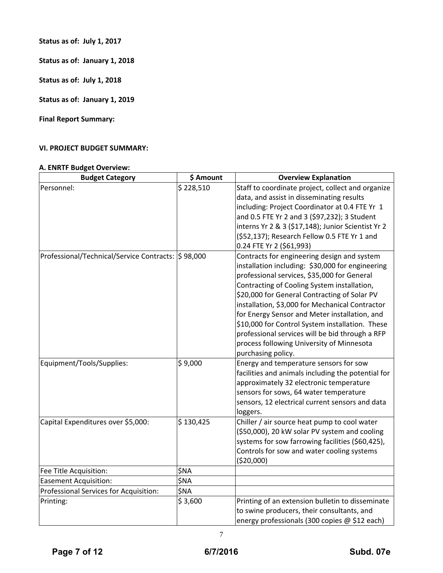**Status as of: July 1, 2017**

**Status as of: January 1, 2018**

**Status as of: July 1, 2018**

**Status as of: January 1, 2019**

**Final Report Summary:**

# **VI. PROJECT BUDGET SUMMARY:**

## **A. ENRTF Budget Overview:**

| <b>Budget Category</b>                             | \$ Amount | <b>Overview Explanation</b>                                                                                                                                                                                                                                                                                                                                                                                                                                                                                                |
|----------------------------------------------------|-----------|----------------------------------------------------------------------------------------------------------------------------------------------------------------------------------------------------------------------------------------------------------------------------------------------------------------------------------------------------------------------------------------------------------------------------------------------------------------------------------------------------------------------------|
| Personnel:                                         | \$228,510 | Staff to coordinate project, collect and organize<br>data, and assist in disseminating results<br>including: Project Coordinator at 0.4 FTE Yr 1<br>and 0.5 FTE Yr 2 and 3 (\$97,232); 3 Student<br>interns Yr 2 & 3 (\$17,148); Junior Scientist Yr 2<br>(\$52,137); Research Fellow 0.5 FTE Yr 1 and<br>0.24 FTE Yr 2 (\$61,993)                                                                                                                                                                                         |
| Professional/Technical/Service Contracts: S 98,000 |           | Contracts for engineering design and system<br>installation including: \$30,000 for engineering<br>professional services, \$35,000 for General<br>Contracting of Cooling System installation,<br>\$20,000 for General Contracting of Solar PV<br>installation, \$3,000 for Mechanical Contractor<br>for Energy Sensor and Meter installation, and<br>\$10,000 for Control System installation. These<br>professional services will be bid through a RFP<br>process following University of Minnesota<br>purchasing policy. |
| Equipment/Tools/Supplies:                          | \$9,000   | Energy and temperature sensors for sow<br>facilities and animals including the potential for<br>approximately 32 electronic temperature<br>sensors for sows, 64 water temperature<br>sensors, 12 electrical current sensors and data<br>loggers.                                                                                                                                                                                                                                                                           |
| Capital Expenditures over \$5,000:                 | \$130,425 | Chiller / air source heat pump to cool water<br>(\$50,000), 20 kW solar PV system and cooling<br>systems for sow farrowing facilities (\$60,425),<br>Controls for sow and water cooling systems<br>(\$20,000)                                                                                                                                                                                                                                                                                                              |
| Fee Title Acquisition:                             | \$NA      |                                                                                                                                                                                                                                                                                                                                                                                                                                                                                                                            |
| <b>Easement Acquisition:</b>                       | \$NA      |                                                                                                                                                                                                                                                                                                                                                                                                                                                                                                                            |
| Professional Services for Acquisition:             | \$NA      |                                                                                                                                                                                                                                                                                                                                                                                                                                                                                                                            |
| Printing:                                          | \$3,600   | Printing of an extension bulletin to disseminate<br>to swine producers, their consultants, and<br>energy professionals (300 copies @ \$12 each)                                                                                                                                                                                                                                                                                                                                                                            |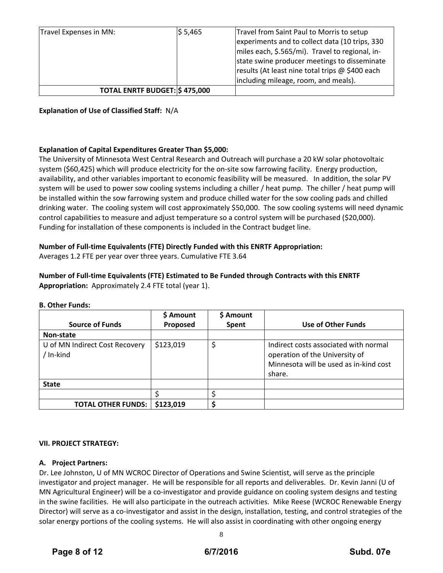| Travel Expenses in MN: | \$ 5,465                              | Travel from Saint Paul to Morris to setup       |
|------------------------|---------------------------------------|-------------------------------------------------|
|                        |                                       | experiments and to collect data (10 trips, 330  |
|                        |                                       | miles each, \$.565/mi). Travel to regional, in- |
|                        |                                       | state swine producer meetings to disseminate    |
|                        |                                       | results (At least nine total trips @ \$400 each |
|                        |                                       | including mileage, room, and meals).            |
|                        | <b>TOTAL ENRTF BUDGET: \$ 475,000</b> |                                                 |

## **Explanation of Use of Classified Staff:** N/A

## **Explanation of Capital Expenditures Greater Than \$5,000:**

The University of Minnesota West Central Research and Outreach will purchase a 20 kW solar photovoltaic system (\$60,425) which will produce electricity for the on‐site sow farrowing facility. Energy production, availability, and other variables important to economic feasibility will be measured. In addition, the solar PV system will be used to power sow cooling systems including a chiller / heat pump. The chiller / heat pump will be installed within the sow farrowing system and produce chilled water for the sow cooling pads and chilled drinking water. The cooling system will cost approximately \$50,000. The sow cooling systems will need dynamic control capabilities to measure and adjust temperature so a control system will be purchased (\$20,000). Funding for installation of these components is included in the Contract budget line.

## **Number of Full‐time Equivalents (FTE) Directly Funded with this ENRTF Appropriation:**

Averages 1.2 FTE per year over three years. Cumulative FTE 3.64

# **Number of Full‐time Equivalents (FTE) Estimated to Be Funded through Contracts with this ENRTF Appropriation:** Approximately 2.4 FTE total (year 1).

| <b>Source of Funds</b>                      | \$ Amount<br>Proposed | \$ Amount<br>Spent | Use of Other Funds                                                                                                          |
|---------------------------------------------|-----------------------|--------------------|-----------------------------------------------------------------------------------------------------------------------------|
| Non-state                                   |                       |                    |                                                                                                                             |
| U of MN Indirect Cost Recovery<br>/ In-kind | \$123,019             | \$                 | Indirect costs associated with normal<br>operation of the University of<br>Minnesota will be used as in-kind cost<br>share. |
| <b>State</b>                                |                       |                    |                                                                                                                             |
|                                             |                       |                    |                                                                                                                             |
| <b>TOTAL OTHER FUNDS:</b>                   | \$123,019             |                    |                                                                                                                             |

### **B. Other Funds:**

## **VII. PROJECT STRATEGY:**

## **A. Project Partners:**

Dr. Lee Johnston, U of MN WCROC Director of Operations and Swine Scientist, will serve as the principle investigator and project manager. He will be responsible for all reports and deliverables. Dr. Kevin Janni (U of MN Agricultural Engineer) will be a co‐investigator and provide guidance on cooling system designs and testing in the swine facilities. He will also participate in the outreach activities. Mike Reese (WCROC Renewable Energy Director) will serve as a co-investigator and assist in the design, installation, testing, and control strategies of the solar energy portions of the cooling systems. He will also assist in coordinating with other ongoing energy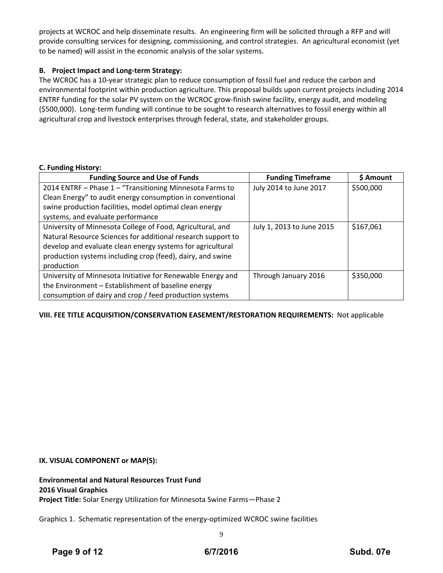projects at WCROC and help disseminate results. An engineering firm will be solicited through a RFP and will provide consulting services for designing, commissioning, and control strategies. An agricultural economist (yet to be named) will assist in the economic analysis of the solar systems.

## **B. Project Impact and Long‐term Strategy:**

The WCROC has a 10‐year strategic plan to reduce consumption of fossil fuel and reduce the carbon and environmental footprint within production agriculture. This proposal builds upon current projects including 2014 ENTRF funding for the solar PV system on the WCROC grow‐finish swine facility, energy audit, and modeling (\$500,000). Long‐term funding will continue to be sought to research alternatives to fossil energy within all agricultural crop and livestock enterprises through federal, state, and stakeholder groups.

### **C. Funding History:**

| <b>Funding Source and Use of Funds</b>                       | <b>Funding Timeframe</b>  | \$ Amount |
|--------------------------------------------------------------|---------------------------|-----------|
| 2014 ENTRF - Phase 1 - "Transitioning Minnesota Farms to     | July 2014 to June 2017    | \$500,000 |
| Clean Energy" to audit energy consumption in conventional    |                           |           |
| swine production facilities, model optimal clean energy      |                           |           |
| systems, and evaluate performance                            |                           |           |
| University of Minnesota College of Food, Agricultural, and   | July 1, 2013 to June 2015 | \$167,061 |
| Natural Resource Sciences for additional research support to |                           |           |
| develop and evaluate clean energy systems for agricultural   |                           |           |
| production systems including crop (feed), dairy, and swine   |                           |           |
| production                                                   |                           |           |
| University of Minnesota Initiative for Renewable Energy and  | Through January 2016      | \$350,000 |
| the Environment - Establishment of baseline energy           |                           |           |
| consumption of dairy and crop / feed production systems      |                           |           |

## **VIII. FEE TITLE ACQUISITION/CONSERVATION EASEMENT/RESTORATION REQUIREMENTS:** Not applicable

### **IX. VISUAL COMPONENT or MAP(S):**

**Environmental and Natural Resources Trust Fund 2016 Visual Graphics Project Title:** Solar Energy Utilization for Minnesota Swine Farms—Phase 2

Graphics 1. Schematic representation of the energy‐optimized WCROC swine facilities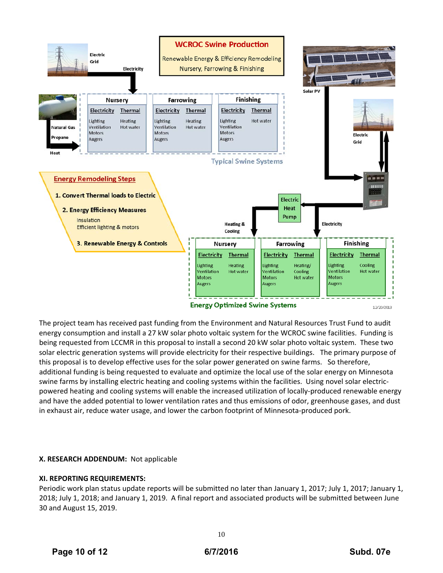

The project team has received past funding from the Environment and Natural Resources Trust Fund to audit energy consumption and install a 27 kW solar photo voltaic system for the WCROC swine facilities. Funding is being requested from LCCMR in this proposal to install a second 20 kW solar photo voltaic system. These two solar electric generation systems will provide electricity for their respective buildings. The primary purpose of this proposal is to develop effective uses for the solar power generated on swine farms. So therefore, additional funding is being requested to evaluate and optimize the local use of the solar energy on Minnesota swine farms by installing electric heating and cooling systems within the facilities. Using novel solar electricpowered heating and cooling systems will enable the increased utilization of locally‐produced renewable energy and have the added potential to lower ventilation rates and thus emissions of odor, greenhouse gases, and dust in exhaust air, reduce water usage, and lower the carbon footprint of Minnesota-produced pork.

## **X. RESEARCH ADDENDUM:** Not applicable

### **XI. REPORTING REQUIREMENTS:**

Periodic work plan status update reports will be submitted no later than January 1, 2017; July 1, 2017; January 1, 2018; July 1, 2018; and January 1, 2019. A final report and associated products will be submitted between June 30 and August 15, 2019.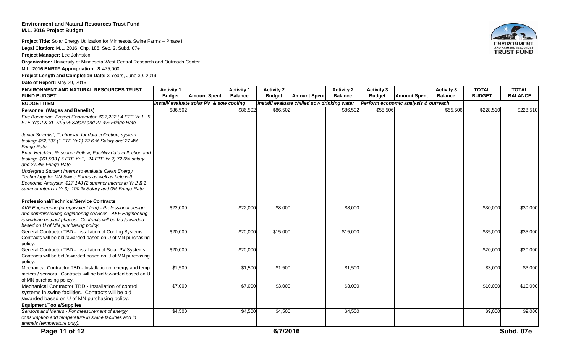### **Environment and Natural Resources Trust FundM.L. 2016 Project Budget**

**Project Title:** Solar Energy Utilization for Minnesota Swine Farms – Phase II **Legal Citation:** M.L. 2016, Chp. 186, Sec. 2, Subd. 07e

**Project Manager:** Lee Johnston

**Organization:** University of Minnesota West Central Research and Outreach Center

**M.L. 2016 ENRTF Appropriation: \$** 475,000

**Project Length and Completion Date:** 3 Years, June 30, 2019

**Date of Report:** May 29, 2016

| ENVIRONMENT AND NATURAL RESOURCES TRUST<br><b>FUND BUDGET</b>                                                                                                                                                                   | <b>Activity 1</b><br><b>Budget</b><br><b>Amount Spent</b>                                                                        | <b>Activity 1</b><br><b>Balance</b> | <b>Activity 2</b><br><b>Budget</b> | <b>Amount Spent</b> | <b>Activity 2</b><br><b>Balance</b> | <b>Activity 3</b><br><b>Budget</b> | <b>Amount Spent</b> | <b>Activity 3</b><br><b>Balance</b> | <b>TOTAL</b><br><b>BUDGET</b> | <b>TOTAL</b><br><b>BALANCE</b> |
|---------------------------------------------------------------------------------------------------------------------------------------------------------------------------------------------------------------------------------|----------------------------------------------------------------------------------------------------------------------------------|-------------------------------------|------------------------------------|---------------------|-------------------------------------|------------------------------------|---------------------|-------------------------------------|-------------------------------|--------------------------------|
| <b>BUDGET ITEM</b>                                                                                                                                                                                                              | Install/ evaluate solar PV & sow cooling<br>Install/ evaluate chilled sow drinking water<br>Perform economic analysis & outreach |                                     |                                    |                     |                                     |                                    |                     |                                     |                               |                                |
| <b>Personnel (Wages and Benefits)</b>                                                                                                                                                                                           | \$86,502                                                                                                                         | \$86,502                            | \$86,502                           |                     | \$86,502                            | \$55,506                           |                     | \$55,506                            | \$228,510                     | \$228,510                      |
| Eric Buchanan, Project Coordinator: \$97,232 (.4 FTE Yr 1, .5<br>FTE Yrs 2 & 3) 72.6 % Salary and 27.4% Fringe Rate                                                                                                             |                                                                                                                                  |                                     |                                    |                     |                                     |                                    |                     |                                     |                               |                                |
| Junior Scientist, Technician for data collection, system<br>testing: \$52,137 (1 FTE Yr 2) 72.6 % Salary and 27.4%<br><b>Fringe Rate</b>                                                                                        |                                                                                                                                  |                                     |                                    |                     |                                     |                                    |                     |                                     |                               |                                |
| Brian Hetchler, Research Fellow, Facilility data collection and<br>testing: \$61,993 (.5 FTE Yr 1, .24 FTE Yr 2) 72.6% salary<br>and 27.4% Fringe Rate                                                                          |                                                                                                                                  |                                     |                                    |                     |                                     |                                    |                     |                                     |                               |                                |
| Undergrad Student Interns to evaluate Clean Energy<br>Technology for MN Swine Farms as well as help with<br>Economic Analysis: \$17,148 (2 summer interns in Yr 2 & 1<br>summer intern in Yr 3) 100 % Salary and 0% Fringe Rate |                                                                                                                                  |                                     |                                    |                     |                                     |                                    |                     |                                     |                               |                                |
| <b>Professional/Technical/Service Contracts</b>                                                                                                                                                                                 |                                                                                                                                  |                                     |                                    |                     |                                     |                                    |                     |                                     |                               |                                |
| AKF Engineering (or equivalent firm) - Professional design<br>and commissioning engineering services. AKF Engineering<br>is working on past phases. Contracts will be bid /awarded<br>based on U of MN purchasing policy.       | \$22,000                                                                                                                         | \$22,000                            | \$8,000                            |                     | \$8,000                             |                                    |                     |                                     | $\sqrt{$30,000}$              | \$30,000                       |
| General Contractor TBD - Installation of Cooling Systems.<br>Contracts will be bid /awarded based on U of MN purchasing<br>policy.                                                                                              | \$20,000                                                                                                                         | \$20,000                            | \$15,000                           |                     | \$15,000                            |                                    |                     |                                     | \$35,000                      | \$35,000                       |
| General Contractor TBD - Installation of Solar PV Systems<br>Contracts will be bid /awarded based on U of MN purchasing<br>policy.                                                                                              | \$20,000                                                                                                                         | \$20,000                            |                                    |                     |                                     |                                    |                     |                                     | \$20,000                      | \$20,000                       |
| Mechanical Contractor TBD - Installation of energy and temp<br>meters / sensors. Contracts will be bid /awarded based on U<br>of MN purchasing policy.                                                                          | \$1,500                                                                                                                          | \$1,500                             | \$1,500                            |                     | \$1,500                             |                                    |                     |                                     | \$3,000                       | \$3,000                        |
| Mechanical Contractor TBD - Installation of control<br>systems in swine facilities. Contracts will be bid<br>/awarded based on U of MN purchasing policy.                                                                       | \$7,000                                                                                                                          | \$7,000                             | \$3,000                            |                     | \$3,000                             |                                    |                     |                                     | \$10,000                      | \$10,000                       |
| <b>Equipment/Tools/Supplies</b>                                                                                                                                                                                                 |                                                                                                                                  |                                     |                                    |                     |                                     |                                    |                     |                                     |                               |                                |
| Sensors and Meters - For measurement of energy<br>consumption and temperature in swine facilities and in<br>animals (temperature only).                                                                                         | \$4,500                                                                                                                          | \$4,500                             | \$4,500                            |                     | \$4,500                             |                                    |                     |                                     | \$9,000                       | \$9,000                        |
| Page 11 of 12                                                                                                                                                                                                                   |                                                                                                                                  |                                     | 6/7/2016                           |                     |                                     |                                    |                     |                                     |                               | Subd. 07e                      |